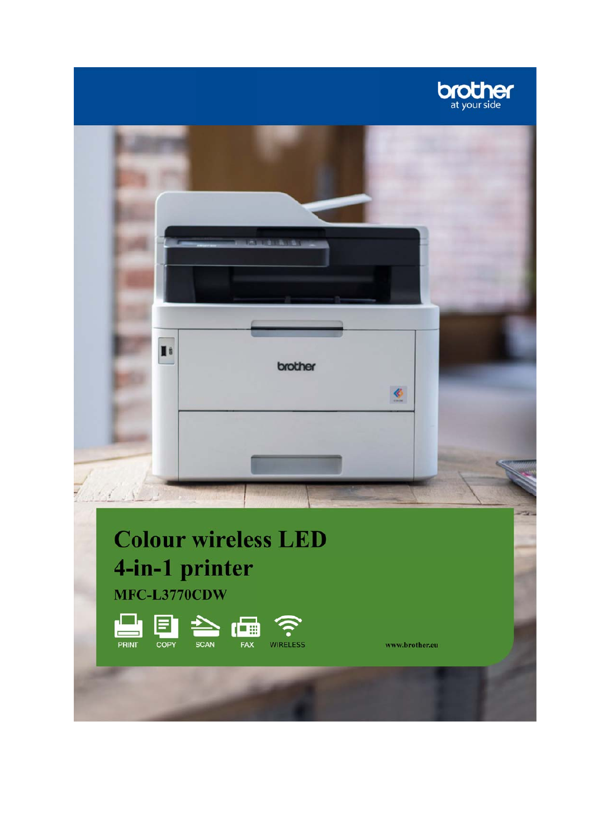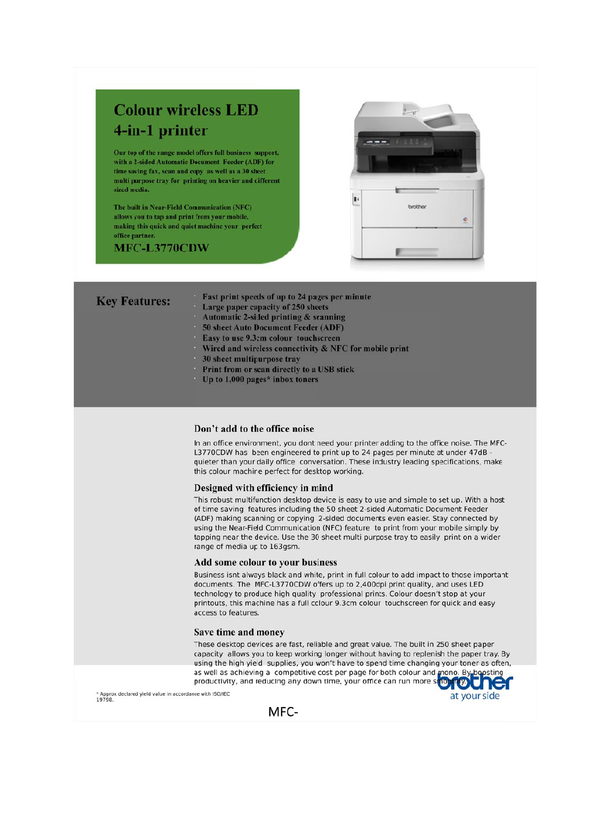# **Colour wireless LED** 4-in-1 printer

Our top of the range model offers full business support, with a 2-sided Automatic Document Feeder (ADF) for time saving fax, scan and copy as well as a 30 sheet multi purpose tray for printing on heavier and different sized media.

The built in Near-Field Communication (NFC) allows you to tap and print from your mobile, making this quick and quiet machine your perfect office partner.

MFC-L3770CDW

**Key Features:** 



Fast print speeds of up to 24 pages per minute

- Large paper capacity of 250 sheets
	- Automatic 2-sided printing & scanning
	- 50 sheet Auto Document Feeder (ADF)
	- Easy to use 9.3cm colour touchscreen
	- Wired and wireless connectivity & NFC for mobile print
	- 30 sheet multipurpose tray
	- Print from or scan directly to a USB stick
	- Up to  $1,000$  pages\* inbox toners

# Don't add to the office noise

In an office environment, you dont need your printer adding to the office noise. The MFC-L3770CDW has been engineered to print up to 24 pages per minute at under 47dB quieter than your daily office conversation. These industry leading specifications, make this colour machine perfect for desktop working.

# Designed with efficiency in mind

This robust multifunction desktop device is easy to use and simple to set up. With a host of time saving features including the 50 sheet 2-sided Automatic Document Feeder (ADF) making scanning or copying 2-sided documents even easier. Stay connected by using the Near-Field Communication (NFC) feature to print from your mobile simply by tapping near the device. Use the 30 sheet multi purpose tray to easily print on a wider range of media up to 163gsm.

# Add some colour to your business

Business isnt always black and white, print in full colour to add impact to those important documents. The MFC-L3770CDW offers up to 2,400dpi print quality, and uses LED technology to produce high quality professional prints. Colour doesn't stop at your printouts, this machine has a full colour 9.3cm colour touchscreen for quick and easy access to features.

# Save time and money

These desktop devices are fast, reliable and great value. The built in 250 sheet paper capacity allows you to keep working longer without having to replenish the paper tray. By using the high yield supplies, you won't have to spend time changing your toner as often, as well as achieving a competitive cost per page for both colour and mono. By boosting<br>productivity, and reducing any down time, your office can run more smooth

at your side

\* Approx declared yield value in accordance with ISO/IEC<br>19798.

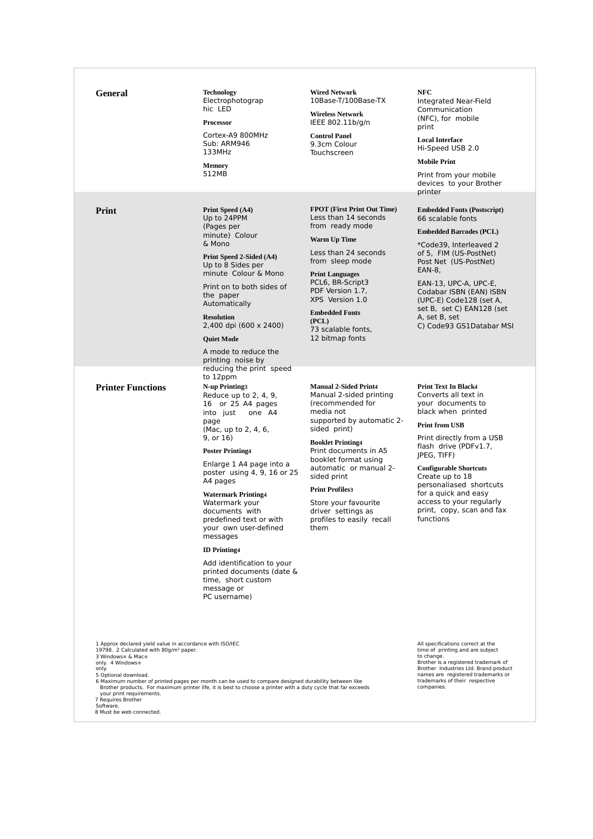| <b>General</b>                                                                                                                                                                                                                                                                      | <b>Technology</b><br>Electrophotograp<br>hic LED<br><b>Processor</b><br>Cortex-A9 800MHz<br>Sub: ARM946<br>133MHz<br><b>Memory</b><br>512MB                                                                                                                                                                                                                                                                                                                                                                                                           | <b>Wired Network</b><br>10Base-T/100Base-TX<br><b>Wireless Network</b><br>IEEE 802.11b/g/n<br><b>Control Panel</b><br>9.3cm Colour<br>Touchscreen                                                                                                                                                                                                                        | <b>NFC</b><br>Integrated Near-Field<br>Communication<br>(NFC), for mobile<br>print<br><b>Local Interface</b><br>Hi-Speed USB 2.0<br><b>Mobile Print</b><br>Print from your mobile<br>devices to your Brother                                                                                                                                                               |
|-------------------------------------------------------------------------------------------------------------------------------------------------------------------------------------------------------------------------------------------------------------------------------------|-------------------------------------------------------------------------------------------------------------------------------------------------------------------------------------------------------------------------------------------------------------------------------------------------------------------------------------------------------------------------------------------------------------------------------------------------------------------------------------------------------------------------------------------------------|--------------------------------------------------------------------------------------------------------------------------------------------------------------------------------------------------------------------------------------------------------------------------------------------------------------------------------------------------------------------------|----------------------------------------------------------------------------------------------------------------------------------------------------------------------------------------------------------------------------------------------------------------------------------------------------------------------------------------------------------------------------|
| Print                                                                                                                                                                                                                                                                               | Print Speed (A4)<br>Up to 24PPM<br>(Pages per<br>minute) Colour<br>& Mono<br>Print Speed 2-Sided (A4)<br>Up to 8 Sides per<br>minute Colour & Mono<br>Print on to both sides of<br>the paper<br>Automatically<br><b>Resolution</b><br>2,400 dpi (600 x 2400)<br><b>Quiet Mode</b><br>A mode to reduce the<br>printing noise by                                                                                                                                                                                                                        | <b>FPOT</b> (First Print Out Time)<br>Less than 14 seconds<br>from ready mode<br>Warm Up Time<br>Less than 24 seconds<br>from sleep mode<br><b>Print Languages</b><br>PCL6, BR-Script3<br>PDF Version 1.7,<br>XPS Version 1.0<br><b>Embedded Fonts</b><br>(PCL)<br>73 scalable fonts,<br>12 bitmap fonts                                                                 | printer<br><b>Embedded Fonts (Postscript)</b><br>66 scalable fonts<br><b>Embedded Barcodes (PCL)</b><br>*Code39, Interleaved 2<br>of 5, FIM (US-PostNet)<br>Post Net (US-PostNet)<br>EAN-8,<br>EAN-13, UPC-A, UPC-E,<br>Codabar ISBN (EAN) ISBN<br>(UPC-E) Code128 (set A,<br>set B, set C) EAN128 (set<br>A, set B, set<br>C) Code93 GS1Databar MSI                       |
| <b>Printer Functions</b>                                                                                                                                                                                                                                                            | reducing the print speed<br>to 12ppm<br>N-up Printing3<br>Reduce up to $2, 4, 9$ ,<br>16 or 25 A4 pages<br>into just<br>one A4<br>page<br>(Mac, up to 2, 4, 6,<br>9, or 16)<br><b>Poster Printing4</b><br>Enlarge 1 A4 page into a<br>poster using 4, 9, 16 or 25<br>A4 pages<br><b>Watermark Printing4</b><br>Watermark your<br>documents with<br>predefined text or with<br>your own user-defined<br>messages<br><b>ID</b> Printing4<br>Add identification to your<br>printed documents (date &<br>time, short custom<br>message or<br>PC username) | <b>Manual 2-Sided Print4</b><br>Manual 2-sided printing<br>(recommended for<br>media not<br>supported by automatic 2-<br>sided print)<br><b>Booklet Printing4</b><br>Print documents in A5<br>booklet format using<br>automatic or manual 2-<br>sided print<br><b>Print Profiles3</b><br>Store your favourite<br>driver settings as<br>profiles to easily recall<br>them | <b>Print Text In Black4</b><br>Converts all text in<br>your documents to<br>black when printed<br><b>Print from USB</b><br>Print directly from a USB<br>flash drive (PDFv1.7,<br>(IPEG, TIFF)<br><b>Configurable Shortcuts</b><br>Create up to 18<br>personaliased shortcuts<br>for a quick and easy<br>access to your regularly<br>print, copy, scan and fax<br>functions |
| 1 Approx declared yield value in accordance with ISO/IEC<br>19798. 2 Calculated with 80g/m <sup>2</sup> paper.<br>3 Windows® & Mac®<br>only. 4 Windows®<br>only.<br>5 Optional download.<br>your print requirements.<br>7 Requires Brother<br>Software.<br>8 Must be web connected. | 6 Maximum number of printed pages per month can be used to compare designed durability between like<br>Brother products. For maximum printer life, it is best to choose a printer with a duty cycle that far exceeds                                                                                                                                                                                                                                                                                                                                  |                                                                                                                                                                                                                                                                                                                                                                          | All specifications correct at the<br>time of printing and are subject<br>to change.<br>Brother is a registered trademark of<br>Brother Industries Ltd. Brand product<br>names are registered trademarks or<br>trademarks of their respective<br>companies.                                                                                                                 |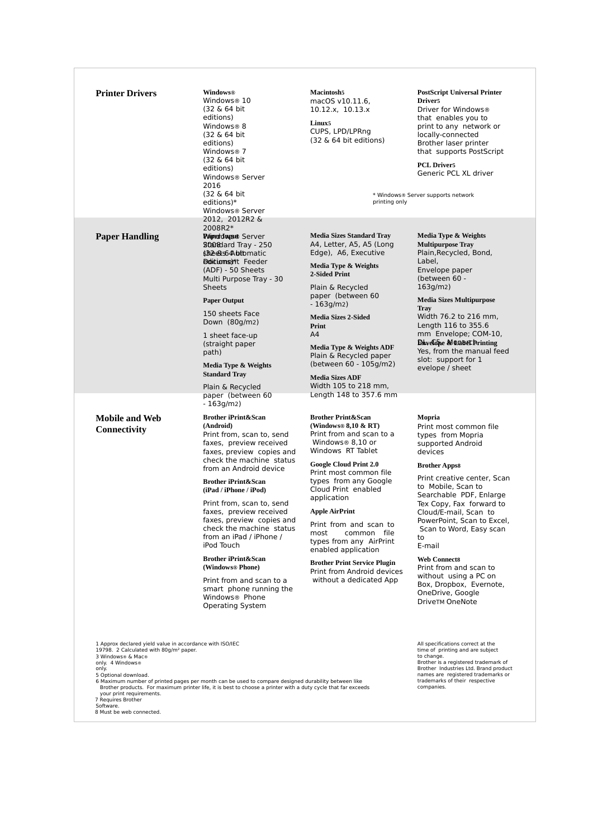| <b>Printer Drivers</b>                                                                                                                                                                                                                     | <b>Windows®</b><br>Windows® 10<br>(32 & 64 bit)                                                                                                                                                                         | <b>Macintosh5</b><br>macOS v10.11.6,<br>10.12.x, 10.13.x                                                                             |
|--------------------------------------------------------------------------------------------------------------------------------------------------------------------------------------------------------------------------------------------|-------------------------------------------------------------------------------------------------------------------------------------------------------------------------------------------------------------------------|--------------------------------------------------------------------------------------------------------------------------------------|
|                                                                                                                                                                                                                                            | editions)<br>Windows <sup>®</sup> 8<br>(32 & 64 bit)<br>editions)<br>Windows <sup>®</sup> 7<br>(32 & 64 bit)<br>editions)<br>Windows® Server<br>2016<br>(32 & 64 bit<br>editions)*<br>Windows® Server<br>2012, 2012R2 & | Linux <sub>5</sub><br>CUPS, LPD/LPRng<br>(32 & 64 bit editi                                                                          |
| <b>Paper Handling</b>                                                                                                                                                                                                                      | 2008R2*<br><b><i>VAIprold ward</i></b> Server<br>8000dard Tray - 250<br><b>śBeets64\btb</b> matic<br><b>Dolitionsel*t</b> Feeder<br>(ADF) - 50 Sheets<br>Multi Purpose Tray - 30                                        | <b>Media Sizes Standar</b><br>A4, Letter, A5, A5<br>Edge), A6, Execu<br>Media Type & Weig<br>2-Sided Print                           |
|                                                                                                                                                                                                                                            | <b>Sheets</b><br><b>Paper Output</b>                                                                                                                                                                                    | Plain & Recycled<br>paper (between<br>$-163q/m2)$                                                                                    |
|                                                                                                                                                                                                                                            | 150 sheets Face<br>Down (80g/m2)                                                                                                                                                                                        | <b>Media Sizes 2-Sided</b><br>Print                                                                                                  |
|                                                                                                                                                                                                                                            | 1 sheet face-up<br>(straight paper<br>path)                                                                                                                                                                             | A4<br>Media Type & Weig<br>Plain & Recycled                                                                                          |
|                                                                                                                                                                                                                                            | Media Type & Weights<br><b>Standard Tray</b>                                                                                                                                                                            | (between 60 - 10<br><b>Media Sizes ADF</b>                                                                                           |
|                                                                                                                                                                                                                                            | Plain & Recycled<br>paper (between 60<br>$-163g/m2)$                                                                                                                                                                    | Width 105 to 218<br>Length 148 to 35                                                                                                 |
| <b>Mobile and Web</b><br>Connectivity                                                                                                                                                                                                      | <b>Brother iPrint&amp;Scan</b><br>(Android)<br>Print from, scan to, send<br>faxes, preview received<br>faxes, preview copies and<br>check the machine status                                                            | <b>Brother Print&amp;Scan</b><br>(Windows® $8,10 \& 1$<br>Print from and sc<br>Windows® 8,10<br>Windows RT Tabl                      |
|                                                                                                                                                                                                                                            | from an Android device<br><b>Brother iPrint&amp;Scan</b>                                                                                                                                                                | <b>Google Cloud Print</b><br>Print most comm<br>types from any (                                                                     |
|                                                                                                                                                                                                                                            | (iPad / iPhone / iPod)<br>Print from, scan to, send                                                                                                                                                                     | Cloud Print enab<br>application<br><b>Apple AirPrint</b><br>Print from and s<br>most<br>commo<br>types from any<br>enabled applicati |
|                                                                                                                                                                                                                                            | faxes, preview received<br>faxes, preview copies and<br>check the machine status<br>from an iPad / iPhone /<br>iPod Touch                                                                                               |                                                                                                                                      |
|                                                                                                                                                                                                                                            | <b>Brother iPrint&amp;Scan</b><br>(Windows® Phone)                                                                                                                                                                      | <b>Brother Print Servic</b><br>Print from Androi                                                                                     |
|                                                                                                                                                                                                                                            | Print from and scan to a<br>smart phone running the<br>Windows <sup>®</sup> Phone<br><b>Operating System</b>                                                                                                            | without a dedica                                                                                                                     |
| 1 Approx declared yield value in accordance with ISO/IEC<br>19798. 2 Calculated with 80g/m <sup>2</sup> paper.<br>3 Windows® & Mac®<br>only. 4 Windows®<br>only.<br>5 Optional download.<br>your print requirements.<br>7 Requires Brother | 6 Maximum number of printed pages per month can be used to compare designed durability between like<br>Brother products. For maximum printer life, it is best to choose a printer with a duty cycle that far exceeds    |                                                                                                                                      |

**Linux5** CUPS, LPD/LPRng  $(32 \& 64 \text{ bit editions})$ 

#### **PostScript Universal Printer Driver5**

Driver for Windows® that enables you to print to any network or locally-connected Brother laser printer that supports PostScript

**PCL Driver5** Generic PCL XL driver

\* Windows® Server supports network printing only

#### **Media Sizes Standard Tray**  A4, Letter, A5, A5 (Long Edge), A6, Executive

**Media Type & Weights 2-Sided Print**

Plain & Recycled paper (between 60  $-163$ g/m2)

**Media Type & Weights ADF**  Plain & Recycled paper (between 60 - 105g/m2)

**Media Sizes ADF** Width 105 to 218 mm, Length 148 to 357.6 mm

**Brother Print&Scan (Windows® 8,10 & RT)**  Print from and scan to a Windows® 8,10 or Windows RT Tablet

**Google Cloud Print 2.0**  Print most common file types from any Google Cloud Print enabled application

### **Apple AirPrint**

Print from and scan to most common file types from any AirPrint enabled application

**Brother Print Service Plugin**  Print from Android devices without a dedicated App

**Media Type & Weights Multipurpose Tray** 

Plain,Recycled, Bond, Label, Envelope paper (between 60 - 163g/m2)

**Media Sizes Multipurpose Tray**

Width 76.2 to 216 mm, Length 116 to 355.6 mm Envelope; COM-10, **Envelope & DaberPrinting** Yes, from the manual feed slot: support for 1 evelope / sheet

**Mopria** Print most common file

types from Mopria supported Android devices

#### **Brother Apps8**

Print creative center, Scan to Mobile, Scan to Searchable PDF, Enlarge Tex Copy, Fax forward to Cloud/E-mail, Scan to PowerPoint, Scan to Excel, Scan to Word, Easy scan to

# E-mail

**Web Connect8** Print from and scan to without using a PC on Box, Dropbox, Evernote, OneDrive, Google DriveTM OneNote

All specifications correct at the time of printing and are subject to change. Brother is a registered trademark of Brother Industries Ltd. Brand product names are registered trademarks or trademarks of their respective companies.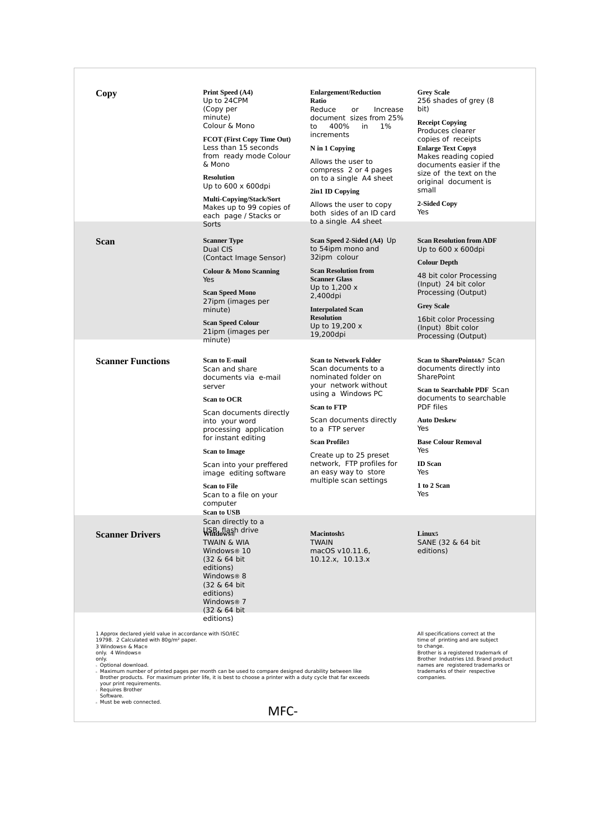| Copy                                                                                                                                                                                                                                                                              | Print Speed (A4)<br>Up to 24CPM<br>(Copy per<br>minute)<br>Colour & Mono<br>FCOT (First Copy Time Out)<br>Less than 15 seconds<br>from ready mode Colour<br>& Mono<br><b>Resolution</b><br>Up to $600 \times 600$ dpi<br><b>Multi-Copying/Stack/Sort</b><br>Makes up to 99 copies of<br>each page / Stacks or                            | <b>Enlargement/Reduction</b><br>Ratio<br>Reduce<br>or<br>Increase<br>document sizes from 25%<br>to<br>400%<br>in<br>1%<br>increments<br>N in 1 Copying<br>Allows the user to<br>compress 2 or 4 pages<br>on to a single A4 sheet<br>2in1 ID Copying<br>Allows the user to copy<br>both sides of an ID card                     | <b>Grey Scale</b><br>256 shades of grey (8)<br>bit)<br><b>Receipt Copying</b><br>Produces clearer<br>copies of receipts<br><b>Enlarge Text Copy8</b><br>Makes reading copied<br>documents easier if the<br>size of the text on the<br>original document is<br>small<br>2-Sided Copy<br>Yes |  |  |
|-----------------------------------------------------------------------------------------------------------------------------------------------------------------------------------------------------------------------------------------------------------------------------------|------------------------------------------------------------------------------------------------------------------------------------------------------------------------------------------------------------------------------------------------------------------------------------------------------------------------------------------|--------------------------------------------------------------------------------------------------------------------------------------------------------------------------------------------------------------------------------------------------------------------------------------------------------------------------------|--------------------------------------------------------------------------------------------------------------------------------------------------------------------------------------------------------------------------------------------------------------------------------------------|--|--|
| <b>Scan</b>                                                                                                                                                                                                                                                                       | Sorts<br><b>Scanner Type</b><br>Dual CIS<br>(Contact Image Sensor)<br><b>Colour &amp; Mono Scanning</b><br>Yes<br><b>Scan Speed Mono</b><br>27ipm (images per<br>minute)<br><b>Scan Speed Colour</b><br>21ipm (images per<br>minute)                                                                                                     | to a single A4 sheet<br>Scan Speed 2-Sided (A4) Up<br>to 54ipm mono and<br>32ipm colour<br><b>Scan Resolution from</b><br><b>Scanner Glass</b><br>Up to $1,200x$<br>2,400dpi<br><b>Interpolated Scan</b><br><b>Resolution</b><br>Up to 19,200 x<br>19,200dpi                                                                   | <b>Scan Resolution from ADF</b><br>Up to $600 \times 600$ dpi<br><b>Colour Depth</b><br>48 bit color Processing<br>(Input) 24 bit color<br>Processing (Output)<br><b>Grey Scale</b><br>16bit color Processing<br>(Input) 8bit color<br>Processing (Output)                                 |  |  |
| <b>Scanner Functions</b>                                                                                                                                                                                                                                                          | <b>Scan to E-mail</b><br>Scan and share<br>documents via e-mail<br>server<br><b>Scan to OCR</b><br>Scan documents directly<br>into your word<br>processing application<br>for instant editing<br><b>Scan to Image</b><br>Scan into your preffered<br>image editing software<br><b>Scan to File</b><br>Scan to a file on your<br>computer | <b>Scan to Network Folder</b><br>Scan documents to a<br>nominated folder on<br>your network without<br>using a Windows PC<br><b>Scan to FTP</b><br>Scan documents directly<br>to a FTP server<br><b>Scan Profile3</b><br>Create up to 25 preset<br>network, FTP profiles for<br>an easy way to store<br>multiple scan settings | Scan to SharePoint4&7 Scan<br>documents directly into<br><b>SharePoint</b><br>Scan to Searchable PDF Scan<br>documents to searchable<br>PDF files<br><b>Auto Deskew</b><br>Yes<br><b>Base Colour Removal</b><br>Yes<br><b>ID</b> Scan<br>Yes<br>1 to 2 Scan<br>Yes                         |  |  |
| <b>Scanner Drivers</b>                                                                                                                                                                                                                                                            | <b>Scan to USB</b><br>Scan directly to a<br>USB flash drive<br>Windows®<br>TWAIN & WIA<br>Windows® 10<br>(32 & 64 bit)<br>editions)<br>Windows® 8<br>(32 & 64 bit)<br>editions)<br>Windows <sup>®</sup> 7<br>(32 & 64 bit)                                                                                                               | <b>Macintosh5</b><br><b>TWAIN</b><br>macOS v10.11.6,<br>10.12.x, 10.13.x                                                                                                                                                                                                                                                       | Linux <sub>5</sub><br>SANE (32 & 64 bit)<br>editions)                                                                                                                                                                                                                                      |  |  |
| 1 Approx declared yield value in accordance with ISO/IEC<br>19798. 2 Calculated with 80q/m <sup>2</sup> paper.<br>3 Windows® & Mac®<br>only. 4 Windows®<br>only.<br>s Optional download.<br>your print requirements.<br>Requires Brother<br>Software.<br>» Must be web connected. | editions)<br>Maximum number of printed pages per month can be used to compare designed durability between like<br>Brother products. For maximum printer life, it is best to choose a printer with a duty cycle that far exceeds<br>MFC-                                                                                                  |                                                                                                                                                                                                                                                                                                                                | All specifications correct at the<br>time of printing and are subject<br>to change.<br>Brother is a registered trademark of<br>Brother Industries Ltd. Brand product<br>names are registered trademarks or<br>trademarks of their respective<br>companies.                                 |  |  |
|                                                                                                                                                                                                                                                                                   |                                                                                                                                                                                                                                                                                                                                          |                                                                                                                                                                                                                                                                                                                                |                                                                                                                                                                                                                                                                                            |  |  |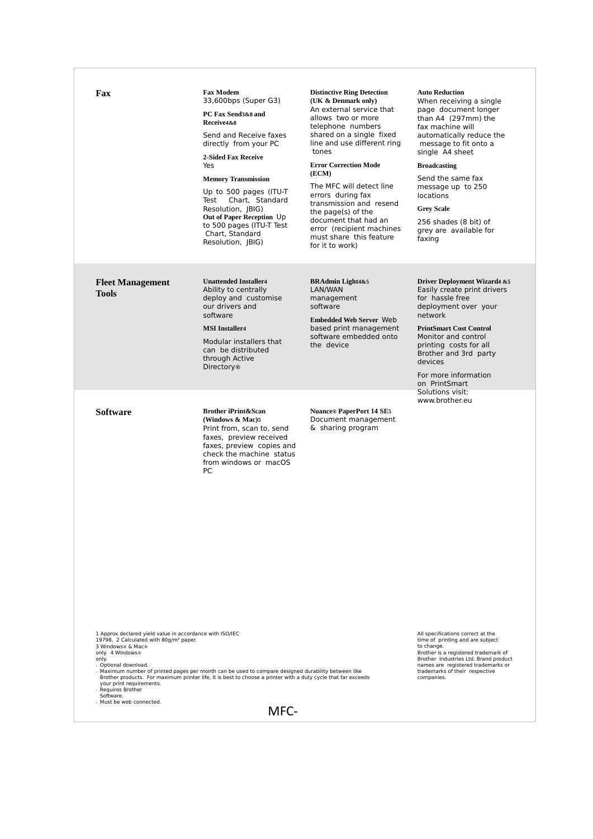| Fax                                                                                                                                                                                                                                                                                                                                                                                                                                                                                                                                                                                                                                                                                                                                       | <b>Fax Modem</b><br>33,600bps (Super G3)<br>PC Fax Send3&8 and<br>Receive4&8<br>Send and Receive faxes<br>directly from your PC<br><b>2-Sided Fax Receive</b><br>Yes<br><b>Memory Transmission</b><br>Up to 500 pages (ITU-T)<br>Chart. Standard<br>Test<br>Resolution, JBIG)<br>Out of Paper Reception Up<br>to 500 pages (ITU-T Test<br>Chart, Standard<br>Resolution, JBIG) | <b>Distinctive Ring Detection</b><br>(UK & Denmark only)<br>An external service that<br>allows two or more<br>telephone numbers<br>shared on a single fixed<br>line and use different ring<br>tones<br><b>Error Correction Mode</b><br>(ECM)<br>The MFC will detect line<br>errors during fax<br>transmission and resend<br>the page(s) of the<br>document that had an<br>error (recipient machines<br>must share this feature<br>for it to work) | <b>Auto Reduction</b><br>When receiving a single<br>page document longer<br>than A4 (297mm) the<br>fax machine will<br>automatically reduce the<br>message to fit onto a<br>single A4 sheet<br><b>Broadcasting</b><br>Send the same fax<br>message up to 250<br><b>locations</b><br><b>Grey Scale</b><br>256 shades (8 bit) of<br>grey are available for<br>faxing |  |
|-------------------------------------------------------------------------------------------------------------------------------------------------------------------------------------------------------------------------------------------------------------------------------------------------------------------------------------------------------------------------------------------------------------------------------------------------------------------------------------------------------------------------------------------------------------------------------------------------------------------------------------------------------------------------------------------------------------------------------------------|--------------------------------------------------------------------------------------------------------------------------------------------------------------------------------------------------------------------------------------------------------------------------------------------------------------------------------------------------------------------------------|---------------------------------------------------------------------------------------------------------------------------------------------------------------------------------------------------------------------------------------------------------------------------------------------------------------------------------------------------------------------------------------------------------------------------------------------------|--------------------------------------------------------------------------------------------------------------------------------------------------------------------------------------------------------------------------------------------------------------------------------------------------------------------------------------------------------------------|--|
| <b>Fleet Management</b><br><b>Tools</b>                                                                                                                                                                                                                                                                                                                                                                                                                                                                                                                                                                                                                                                                                                   | <b>Unattended Installer4</b><br>Ability to centrally<br>deploy and customise<br>our drivers and<br>software<br><b>MSI</b> Installer4<br>Modular installers that<br>can be distributed<br>through Active<br><b>Directory</b> <sup>®</sup>                                                                                                                                       | <b>BRAdmin Light4&amp;5</b><br>LAN/WAN<br>management<br>software<br><b>Embedded Web Server Web</b><br>based print management<br>software embedded onto<br>the device                                                                                                                                                                                                                                                                              | <b>Driver Deployment Wizard4 &amp;5</b><br>Easily create print drivers<br>for hassle free<br>deployment over your<br>network<br><b>PrintSmart Cost Control</b><br>Monitor and control<br>printing costs for all<br>Brother and 3rd party<br>devices<br>For more information<br>on PrintSmart                                                                       |  |
| <b>Software</b>                                                                                                                                                                                                                                                                                                                                                                                                                                                                                                                                                                                                                                                                                                                           | <b>Brother iPrint&amp;Scan</b><br>(Windows $\&$ Mac)5<br>Print from, scan to, send<br>faxes, preview received<br>faxes, preview copies and<br>check the machine status<br>from windows or macOS<br>PC                                                                                                                                                                          | <b>Nuance® PaperPort 14 SE5</b><br>Document management<br>& sharing program                                                                                                                                                                                                                                                                                                                                                                       | Solutions visit:<br>www.brother.eu                                                                                                                                                                                                                                                                                                                                 |  |
| 1 Approx declared yield value in accordance with ISO/IEC<br>All specifications correct at the<br>19798. 2 Calculated with 80q/m <sup>2</sup> paper.<br>time of printing and are subject<br>3 Windows® & Mac®<br>to change.<br>only. 4 Windows®<br>Brother is a registered trademark of<br>Brother Industries Ltd. Brand product<br>only.<br>s Optional download.<br>names are registered trademarks or<br>Maximum number of printed pages per month can be used to compare designed durability between like<br>trademarks of their respective<br>Brother products. For maximum printer life, it is best to choose a printer with a duty cycle that far exceeds<br>companies.<br>your print requirements.<br>Requires Brother<br>Software. |                                                                                                                                                                                                                                                                                                                                                                                |                                                                                                                                                                                                                                                                                                                                                                                                                                                   |                                                                                                                                                                                                                                                                                                                                                                    |  |
| » Must be web connected.<br>MFC-                                                                                                                                                                                                                                                                                                                                                                                                                                                                                                                                                                                                                                                                                                          |                                                                                                                                                                                                                                                                                                                                                                                |                                                                                                                                                                                                                                                                                                                                                                                                                                                   |                                                                                                                                                                                                                                                                                                                                                                    |  |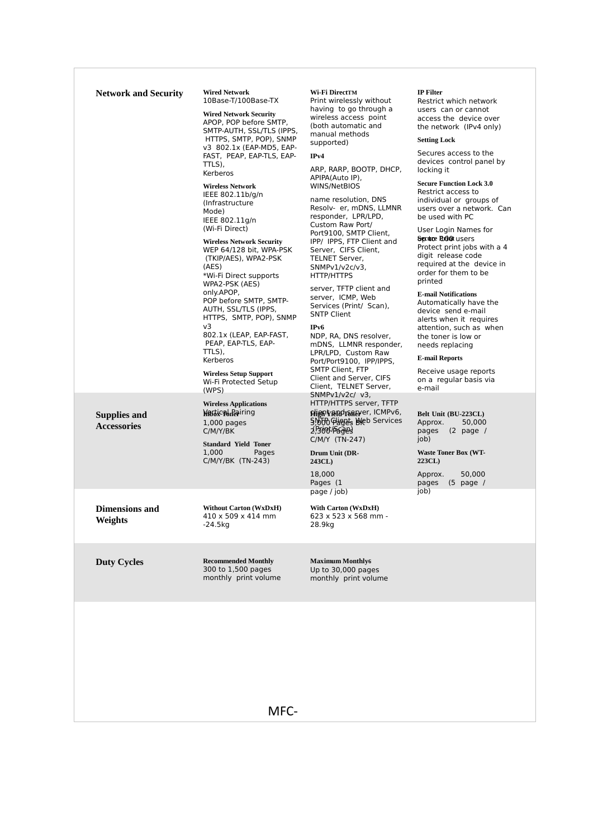|  | <b>Network and Security</b>               | <b>Wired Network</b><br>10Base-T/100Base-TX<br><b>Wired Network Security</b><br>APOP, POP before SMTP,<br>SMTP-AUTH, SSL/TLS (IPPS,<br>HTTPS, SMTP, POP), SNMP<br>v3 802.1x (EAP-MD5, EAP-<br>FAST, PEAP, EAP-TLS, EAP-<br>TTLS),<br>Kerberos<br><b>Wireless Network</b><br>IEEE 802.11b/g/n<br>(Infrastructure<br>Mode)<br>IEEE 802.11g/n<br>(Wi-Fi Direct)<br><b>Wireless Network Security</b><br>WEP 64/128 bit, WPA-PSK<br>(TKIP/AES), WPA2-PSK<br>(AES)<br>*Wi-Fi Direct supports<br>WPA2-PSK (AES)<br>only.APOP,<br>POP before SMTP, SMTP-<br>AUTH, SSL/TLS (IPPS,<br>HTTPS, SMTP, POP), SNMP<br>v3<br>802.1x (LEAP, EAP-FAST,<br>PEAP, EAP-TLS, EAP-<br>TTLS),<br>Kerberos<br><b>Wireless Setup Support</b><br>Wi-Fi Protected Setup<br>(WPS) | Wi-Fi DirectTM<br>Print wirelessly without<br>having to go through a<br>wireless access point<br>(both automatic and<br>manual methods<br>supported)<br>IPv4<br>ARP, RARP, BOOTP, DHCP,<br>APIPA(Auto IP),<br>WINS/NetBIOS<br>name resolution, DNS<br>Resolv- er, mDNS, LLMNR<br>responder, LPR/LPD,<br>Custom Raw Port/<br>Port9100, SMTP Client,<br>IPP/ IPPS, FTP Client and<br>Server, CIFS Client,<br>TELNET Server,<br>$SNMPv1/v2c/v3$ ,<br>HTTP/HTTPS<br>server, TFTP client and<br>server, ICMP, Web<br>Services (Print/ Scan),<br><b>SNTP Client</b><br>IP <sub>v</sub> 6<br>NDP, RA, DNS resolver,<br>mDNS. LLMNR responder.<br>LPR/LPD, Custom Raw<br>Port/Port9100, IPP/IPPS,<br><b>SMTP Client, FTP</b><br>Client and Server, CIFS<br>Client, TELNET Server,<br>$SNMPv1/v2c/v3$ , | <b>IP</b> Filter<br>Restrict which network<br>users can or cannot<br>access the device over<br>the network (IPv4 only)<br><b>Setting Lock</b><br>Secures access to the<br>devices control panel by<br>locking it                                                                                                                                                                                                                                                                                                                                                         |
|--|-------------------------------------------|------------------------------------------------------------------------------------------------------------------------------------------------------------------------------------------------------------------------------------------------------------------------------------------------------------------------------------------------------------------------------------------------------------------------------------------------------------------------------------------------------------------------------------------------------------------------------------------------------------------------------------------------------------------------------------------------------------------------------------------------------|------------------------------------------------------------------------------------------------------------------------------------------------------------------------------------------------------------------------------------------------------------------------------------------------------------------------------------------------------------------------------------------------------------------------------------------------------------------------------------------------------------------------------------------------------------------------------------------------------------------------------------------------------------------------------------------------------------------------------------------------------------------------------------------------|--------------------------------------------------------------------------------------------------------------------------------------------------------------------------------------------------------------------------------------------------------------------------------------------------------------------------------------------------------------------------------------------------------------------------------------------------------------------------------------------------------------------------------------------------------------------------|
|  |                                           |                                                                                                                                                                                                                                                                                                                                                                                                                                                                                                                                                                                                                                                                                                                                                      |                                                                                                                                                                                                                                                                                                                                                                                                                                                                                                                                                                                                                                                                                                                                                                                                | <b>Secure Function Lock 3.0</b><br>Restrict access to<br>individual or groups of<br>users over a network. Can<br>be used with PC<br>User Login Names for<br>Secuto: Endotusers<br>Protect print jobs with a 4<br>digit release code<br>required at the device in<br>order for them to be<br>printed<br><b>E-mail Notifications</b><br>Automatically have the<br>device send e-mail<br>alerts when it requires<br>attention, such as when<br>the toner is low or<br>needs replacing<br><b>E-mail Reports</b><br>Receive usage reports<br>on a regular basis via<br>e-mail |
|  | <b>Supplies and</b><br><b>Accessories</b> | <b>Wireless Applications</b><br><b>Wartical Pairing</b><br>$1,000$ pages<br>C/M/Y/BK<br><b>Standard Yield Toner</b><br>1,000<br>Pages<br>C/M/Y/BK (TN-243)                                                                                                                                                                                                                                                                                                                                                                                                                                                                                                                                                                                           | HTTP/HTTPS server, TFTP<br>plient and paper, ICMPv6,<br>5,000 Glights Bleb Services<br><b>2,500-PGGES</b><br>C/M/Y (TN-247)<br>Drum Unit (DR-<br>243CL)<br>18,000<br>Pages (1                                                                                                                                                                                                                                                                                                                                                                                                                                                                                                                                                                                                                  | Belt Unit (BU-223CL)<br>50,000<br>Approx.<br>pages<br>$(2 \text{ page }$<br>job)<br><b>Waste Toner Box (WT-</b><br>223CL)<br>50,000<br>Approx.<br>pages<br>$(5 \text{ page }$                                                                                                                                                                                                                                                                                                                                                                                            |
|  | <b>Dimensions and</b><br>Weights          | <b>Without Carton (WxDxH)</b><br>410 x 509 x 414 mm<br>-24.5kg                                                                                                                                                                                                                                                                                                                                                                                                                                                                                                                                                                                                                                                                                       | page / job)<br>With Carton (WxDxH)<br>623 x 523 x 568 mm -<br>28.9kg                                                                                                                                                                                                                                                                                                                                                                                                                                                                                                                                                                                                                                                                                                                           | job)                                                                                                                                                                                                                                                                                                                                                                                                                                                                                                                                                                     |
|  | <b>Duty Cycles</b>                        | <b>Recommended Monthly</b><br>300 to 1,500 pages<br>monthly print volume                                                                                                                                                                                                                                                                                                                                                                                                                                                                                                                                                                                                                                                                             | <b>Maximum Monthly6</b><br>Up to 30,000 pages<br>monthly print volume                                                                                                                                                                                                                                                                                                                                                                                                                                                                                                                                                                                                                                                                                                                          |                                                                                                                                                                                                                                                                                                                                                                                                                                                                                                                                                                          |
|  |                                           | MFC-                                                                                                                                                                                                                                                                                                                                                                                                                                                                                                                                                                                                                                                                                                                                                 |                                                                                                                                                                                                                                                                                                                                                                                                                                                                                                                                                                                                                                                                                                                                                                                                |                                                                                                                                                                                                                                                                                                                                                                                                                                                                                                                                                                          |
|  |                                           |                                                                                                                                                                                                                                                                                                                                                                                                                                                                                                                                                                                                                                                                                                                                                      |                                                                                                                                                                                                                                                                                                                                                                                                                                                                                                                                                                                                                                                                                                                                                                                                |                                                                                                                                                                                                                                                                                                                                                                                                                                                                                                                                                                          |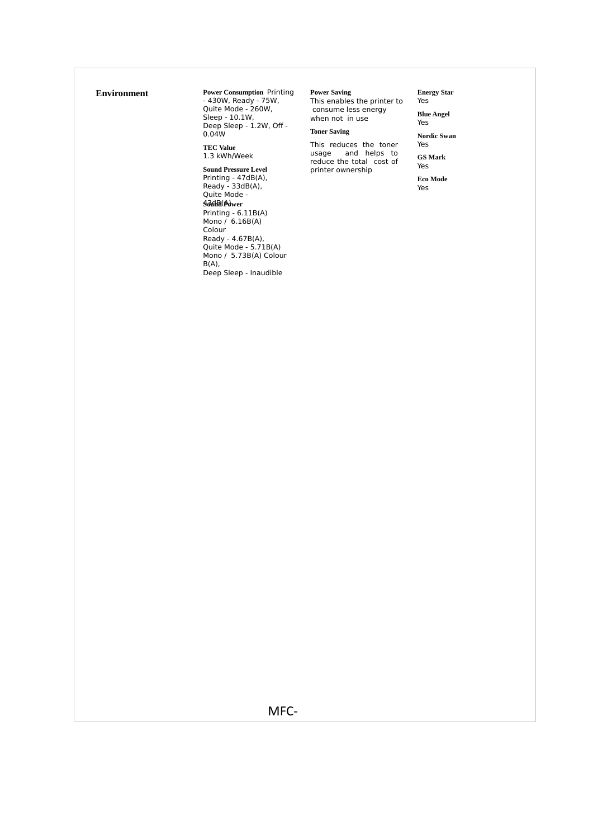**Environment** Power Consumption Printing<br>430W, Ready - 75W, Quite Mode - 260W, Sleep - 10.1W, Deep Sleep - 1.2W, Off - 0.04W

**TEC Value** 1.3 kWh/Week

**Sound Pressure Level**  Printing - 47dB(A), Ready - 33dB(A), Quite Mode - 43dB(A) **Sound Power** Printing - 6.11B(A) Mono / 6.16B(A) Colour Ready - 4.67B(A), Quite Mode - 5.71B(A) Mono / 5.73B(A) Colour B(A), Deep Sleep - Inaudible

#### **Power Saving**

This enables the printer to consume less energy when not in use

# **Toner Saving**

This reduces the toner usage and helps to reduce the total cost of printer ownership

**Energy Star** Yes

**Blue Angel** Yes

**Nordic Swan** Yes

**GS Mark** Yes

**Eco Mode** Yes

MFC‐